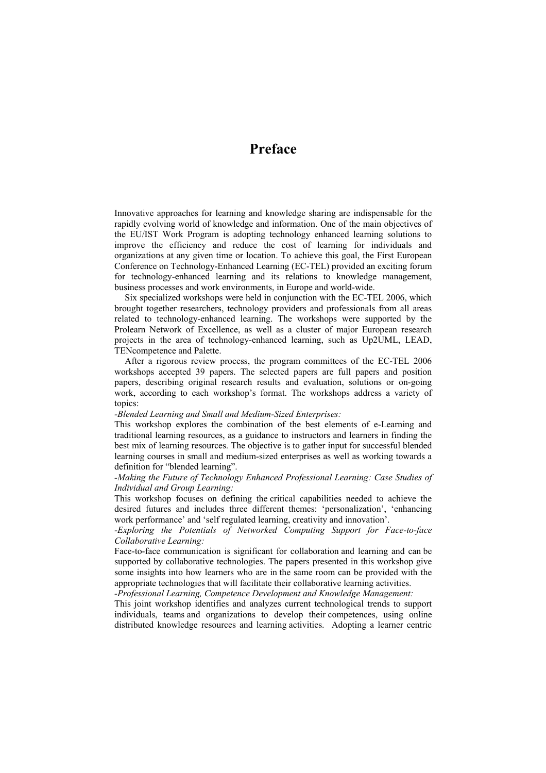# **Preface**

Innovative approaches for learning and knowledge sharing are indispensable for the rapidly evolving world of knowledge and information. One of the main objectives of the EU/IST Work Program is adopting technology enhanced learning solutions to improve the efficiency and reduce the cost of learning for individuals and organizations at any given time or location. To achieve this goal, the First European Conference on Technology-Enhanced Learning (EC-TEL) provided an exciting forum for technology-enhanced learning and its relations to knowledge management, business processes and work environments, in Europe and world-wide.

Six specialized workshops were held in conjunction with the EC-TEL 2006, which brought together researchers, technology providers and professionals from all areas related to technology-enhanced learning. The workshops were supported by the Prolearn Network of Excellence, as well as a cluster of major European research projects in the area of technology-enhanced learning, such as Up2UML, LEAD, TENcompetence and Palette.

After a rigorous review process, the program committees of the EC-TEL 2006 workshops accepted 39 papers. The selected papers are full papers and position papers, describing original research results and evaluation, solutions or on-going work, according to each workshop's format. The workshops address a variety of topics:

#### *-Blended Learning and Small and Medium-Sized Enterprises:*

This workshop explores the combination of the best elements of e-Learning and traditional learning resources, as a guidance to instructors and learners in finding the best mix of learning resources. The objective is to gather input for successful blended learning courses in small and medium-sized enterprises as well as working towards a definition for "blended learning".

## *-Making the Future of Technology Enhanced Professional Learning: Case Studies of Individual and Group Learning:*

This workshop focuses on defining the critical capabilities needed to achieve the desired futures and includes three different themes: 'personalization', 'enhancing work performance' and 'self regulated learning, creativity and innovation'.

*-Exploring the Potentials of Networked Computing Support for Face-to-face Collaborative Learning:* 

Face-to-face communication is significant for collaboration and learning and can be supported by collaborative technologies. The papers presented in this workshop give some insights into how learners who are in the same room can be provided with the appropriate technologies that will facilitate their collaborative learning activities.

*-Professional Learning, Competence Development and Knowledge Management:* 

This joint workshop identifies and analyzes current technological trends to support individuals, teams and organizations to develop their competences, using online distributed knowledge resources and learning activities. Adopting a learner centric